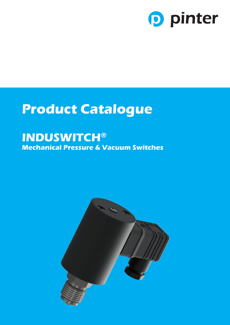

## **Product Catalogue**

### **INDUSWITCH® Mechanical Pressure & Vacuum Switches**

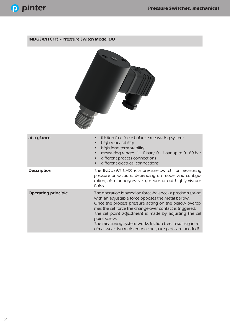#### INDUSWITCH® - Pressure Switch Model DU



| at a glance                | friction-free force balance measuring system<br>high repeatability<br>$\bullet$<br>high long-term stability<br>measuring ranges -1 $0 \bar{b}$ bar $/ 0$ - 1 bar up to 0 - 60 bar<br>different process connections<br>different electrical connections                                                                                                                                                                                 |
|----------------------------|----------------------------------------------------------------------------------------------------------------------------------------------------------------------------------------------------------------------------------------------------------------------------------------------------------------------------------------------------------------------------------------------------------------------------------------|
| <b>Description</b>         | The INDUSWITCH® is a pressure switch for measuring<br>pressure or vacuum, depending on model and configu-<br>ration, also for aggressive, gaseous or not highly viscous<br>fluids.                                                                                                                                                                                                                                                     |
| <b>Operating principle</b> | The operation is based on force-balance - a precison spring<br>with an adjustable force opposes the metal bellow.<br>Once the process pressure acting on the bellow overco-<br>mes the set force the change-over contact is triggered.<br>The set point adjustment is made by adjusting the set<br>point screw.<br>The measuring system works friction-free, resulting in mi-<br>nimal wear. No maintenance or spare parts are needed! |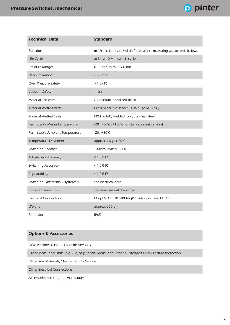

| <b>Technical Data</b>               | <b>Standard</b>                                                          |
|-------------------------------------|--------------------------------------------------------------------------|
| Function                            | mechanical pressure switch; force-balance measuring systems with bellows |
| Life Cycle                          | at least 10 Mio switch cycles                                            |
| Pressure Ranges                     | 0 - 1 bar up to 0 - 60 bar                                               |
| Vacuum Ranges                       | $-1 - 0$ bar                                                             |
| Over Pressure Safety                | > 1,5xFS                                                                 |
| Vacuum Safety                       | $-1$ bar                                                                 |
| <b>Material Enclosre</b>            | Aluminium, anodized black                                                |
| <b>Material Wetted Parts</b>        | Brass or Stainlesss Steel 1.4571 (AISI 316Ti)                            |
| Material Wetted Seals               | FKM or fully welded (only stainless steel)                               |
| Permissable Media Temperature       | -20+80°C (+130°C for stainless steel version)                            |
| Permissable Ambient Temperature     | $-20+80°C$                                                               |
| <b>Temperature Deviation</b>        | approx. 1% per 20°C                                                      |
| <b>Switching Contact</b>            | 1 Micro Switch (SPDT)                                                    |
| <b>Adjustment Accuracy</b>          | $≤ 1,0%$ FS                                                              |
| Switching Accuracy                  | $≤ 1,0%$ FS                                                              |
| Repeatability                       | $≤ 1,0%$ FS                                                              |
| Switching Differential (Hysteresis) | see electrical data                                                      |
| <b>Process Connection</b>           | see dimensional drawings                                                 |
| <b>Electrical Connection</b>        | Plug EN 175 301-803-A (ISO 4400) or Plug M12x1                           |
| Weight                              | approx. 250 g                                                            |
| Protection                          | IP <sub>65</sub>                                                         |

#### Options & Accessories

OEM versions; customer specific versions

Other Measuring Units (e.g. kPa, psi); Special Measuring Ranges; Extended Over Pressure Protection

Other Seal Materials; Cleaned for O2 Service

Other Electrical Connections

Accessories see chapter "Accessories"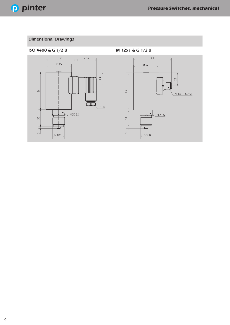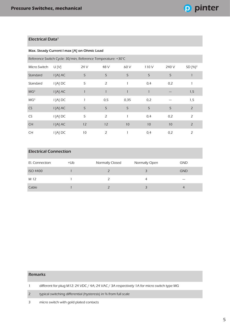#### Electrical Data<sup>1</sup>

Ì.

#### Max. Steady Current I max [A] on Ohmic Load

| Reference Switch Cycle: 30/min, Reference Temperature: +30°C |          |              |                |      |              |       |                     |
|--------------------------------------------------------------|----------|--------------|----------------|------|--------------|-------|---------------------|
| Micro Switch                                                 | U[V]     | 24 V         | 48 V           | 60 V | 110V         | 240 V | SD [%] <sup>2</sup> |
| Standard                                                     | I [A] AC | 5            | 5              | 5    | 5            | 5     |                     |
| Standard                                                     | I [A] DC | 5            | 2              |      | 0,4          | 0,2   |                     |
| MG <sup>3</sup>                                              | I [A] AC | $\mathbf{1}$ |                |      | $\mathbf{1}$ |       | 1,5                 |
| MG <sup>3</sup>                                              | I [A] DC | 1            | 0,5            | 0,35 | 0,2          |       | 1,5                 |
| <b>CS</b>                                                    | I [A] AC | 5            | 5              | 5    | 5            | 5     | $\overline{2}$      |
| CS                                                           | I [A] DC | 5            | $\overline{2}$ |      | 0,4          | 0,2   | $\overline{2}$      |
| <b>CH</b>                                                    | I [A] AC | 12           | 12             | 10   | 10           | 10    | $\overline{2}$      |
| CH                                                           | I [A] DC | 10           | 2              |      | 0,4          | 0,2   | 2                   |

#### Electrical Connection

| El. Connection  | $+Ub$ | Normally Closed | Normally Open | <b>GND</b> |
|-----------------|-------|-----------------|---------------|------------|
| <b>ISO 4400</b> |       |                 |               | <b>GND</b> |
| M 12            |       |                 | 4             |            |
| Cable           |       |                 |               | 4          |

#### Remarks

1 different for plug M12: 24 VDC / 4A; 24 VAC / 3A respectively 1A for micro switch type MG

2 typical switching differential (hysteresis) in % from full scale

3 micro switch with gold plated contacts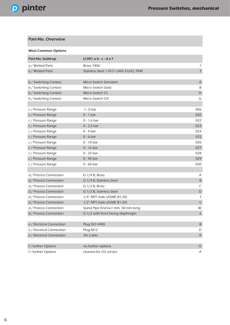#### Part-No. Overview

| <b>Most Common Options</b> |                                          |                           |
|----------------------------|------------------------------------------|---------------------------|
| Part-No. build-up          | $U$ 001 a b - c - d e f                  |                           |
| a / Wetted Parts           | Brass, FKM                               | 1                         |
| a / Wetted Parts           | Stainless Steel 1.4571 (AISI 316Ti), FKM | $\overline{2}$            |
|                            |                                          |                           |
| b / Switching Contact      | Micro Switch Standard                    | $\boldsymbol{\mathsf{A}}$ |
| b / Switching Contact      | Micro Switch Gold                        | B                         |
| b / Switching Contact      | Micro Switch CS                          | $\boldsymbol{\mathsf{H}}$ |
| b / Switching Contact      | Micro Switch CH                          | G                         |
|                            |                                          |                           |
| c / Pressure Range         | $-10$ bar                                | 006                       |
| c / Pressure Range         | $0 - 1$ bar                              | 020                       |
| c / Pressure Range         | $0 - 1,6$ bar                            | 022                       |
| c / Pressure Range         | $0 - 2,5$ bar                            | 023                       |
| c / Pressure Range         | $0 - 4$ bar                              | 024                       |
| c / Pressure Range         | $0 - 6$ bar                              | 025                       |
| c / Pressure Range         | $0 - 10$ bar                             | 026                       |
| c / Pressure Range         | $0 - 16$ bar                             | 027                       |
| c / Pressure Range         | $0 - 25$ bar                             | 028                       |
| c / Pressure Range         | $0 - 40$ bar                             | 029                       |
| c / Pressure Range         | $0 - 60$ bar                             | 030                       |
|                            |                                          |                           |
| d / Process Connection     | G $1/4$ B, Brass                         | Α                         |
| d / Process Connection     | G 1/4 B, Stainless Steel                 | $\sf B$                   |
| d / Process Connection     | G $1/2$ B, Brass                         | $\mathsf C$               |
| d / Process Connection     | G 1/2 B, Stainless Steel                 | $\mathsf D$               |
| d / Process Connection     | 1/4" NPT male (ASME B1.20)               | T                         |
| d / Process Connection     | 1/2" NPT male (ASME B1.20)               | $\vee$                    |
| d / Process Connection     | Stand Pipe End 6x1 mm, 50 mm long        | W                         |
| d / Process Connection     | G 1/2 with front facing diaphragm        | $\boldsymbol{6}$          |
|                            |                                          |                           |
| e / Electrical Connection  | <b>Plug ISO 4400</b>                     | $\sf B$                   |
| e / Electrical Connection  | Plug M12                                 | D                         |
| e / Electrical Connection  | 3m Cable                                 | $\sf K$                   |
|                            |                                          |                           |
| f / further Options        | no further options                       | $\bigcirc$                |
| f / further Options        | cleaned for O2 service                   | A                         |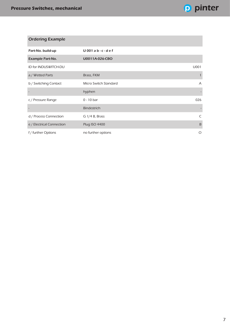| <b>Ordering Example</b>   |                         |                |
|---------------------------|-------------------------|----------------|
| Part-No. build-up         | $U$ 001 a b - c - d e f |                |
| <b>Example Part-No.</b>   | U0011A-026-CBO          |                |
| ID for INDUSWITCH-DU      |                         | U001           |
| a / Wetted Parts          | Brass, FKM              |                |
| b / Switching Contact     | Micro Switch Standard   | $\overline{A}$ |
|                           | hyphen                  |                |
| c / Pressure Range        | $0 - 10$ bar            | 026            |
|                           | <b>Bindestrich</b>      |                |
| d / Process Connection    | G $1/4$ B, Brass        | C              |
| e / Electrical Connection | Plug ISO 4400           | B              |
| f / further Options       | no further options      | O              |